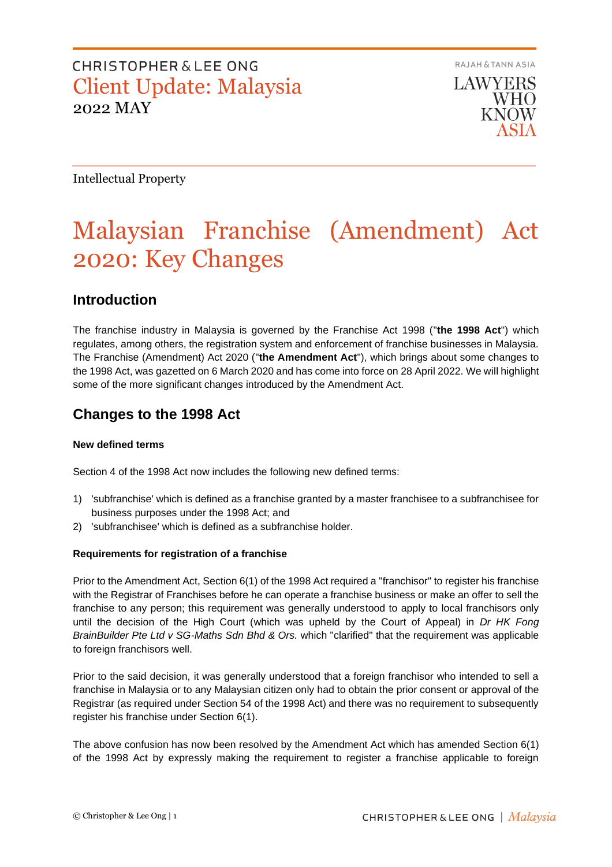RAJAH & TANN ASIA **LAWYERS WHO KNOW** 

Intellectual Property

# Malaysian Franchise (Amendment) Act 2020: Key Changes

### **Introduction**

The franchise industry in Malaysia is governed by the Franchise Act 1998 ("**the 1998 Act**") which regulates, among others, the registration system and enforcement of franchise businesses in Malaysia. The Franchise (Amendment) Act 2020 ("**the Amendment Act**"), which brings about some changes to the 1998 Act, was gazetted on 6 March 2020 and has come into force on 28 April 2022. We will highlight some of the more significant changes introduced by the Amendment Act.

### **Changes to the 1998 Act**

### **New defined terms**

Section 4 of the 1998 Act now includes the following new defined terms:

- 1) 'subfranchise' which is defined as a franchise granted by a master franchisee to a subfranchisee for business purposes under the 1998 Act; and
- 2) 'subfranchisee' which is defined as a subfranchise holder.

### **Requirements for registration of a franchise**

Prior to the Amendment Act, Section 6(1) of the 1998 Act required a "franchisor" to register his franchise with the Registrar of Franchises before he can operate a franchise business or make an offer to sell the franchise to any person; this requirement was generally understood to apply to local franchisors only until the decision of the High Court (which was upheld by the Court of Appeal) in *Dr HK Fong BrainBuilder Pte Ltd v SG-Maths Sdn Bhd & Ors.* which "clarified" that the requirement was applicable to foreign franchisors well.

Prior to the said decision, it was generally understood that a foreign franchisor who intended to sell a franchise in Malaysia or to any Malaysian citizen only had to obtain the prior consent or approval of the Registrar (as required under Section 54 of the 1998 Act) and there was no requirement to subsequently register his franchise under Section 6(1).

The above confusion has now been resolved by the Amendment Act which has amended Section 6(1) of the 1998 Act by expressly making the requirement to register a franchise applicable to foreign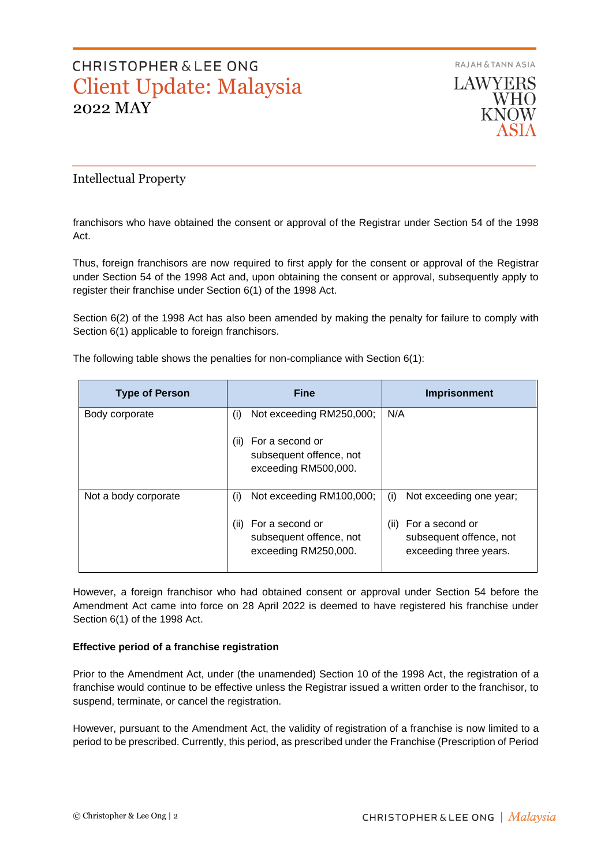

**LAWYERS WHO KNOW** 

### Intellectual Property

franchisors who have obtained the consent or approval of the Registrar under Section 54 of the 1998 Act.

Thus, foreign franchisors are now required to first apply for the consent or approval of the Registrar under Section 54 of the 1998 Act and, upon obtaining the consent or approval, subsequently apply to register their franchise under Section 6(1) of the 1998 Act.

Section 6(2) of the 1998 Act has also been amended by making the penalty for failure to comply with Section 6(1) applicable to foreign franchisors.

The following table shows the penalties for non-compliance with Section 6(1):

| <b>Type of Person</b> | <b>Fine</b>                                                                                                   | <b>Imprisonment</b>                                                          |
|-----------------------|---------------------------------------------------------------------------------------------------------------|------------------------------------------------------------------------------|
| Body corporate        | Not exceeding RM250,000;<br>(i)<br>For a second or<br>(ii)<br>subsequent offence, not<br>exceeding RM500,000. | N/A                                                                          |
| Not a body corporate  | Not exceeding RM100,000;<br>(i)                                                                               | Not exceeding one year;<br>(i)                                               |
|                       | For a second or<br>(ii)<br>subsequent offence, not<br>exceeding RM250,000.                                    | For a second or<br>(ii)<br>subsequent offence, not<br>exceeding three years. |

However, a foreign franchisor who had obtained consent or approval under Section 54 before the Amendment Act came into force on 28 April 2022 is deemed to have registered his franchise under Section 6(1) of the 1998 Act.

#### **Effective period of a franchise registration**

Prior to the Amendment Act, under (the unamended) Section 10 of the 1998 Act, the registration of a franchise would continue to be effective unless the Registrar issued a written order to the franchisor, to suspend, terminate, or cancel the registration.

However, pursuant to the Amendment Act, the validity of registration of a franchise is now limited to a period to be prescribed. Currently, this period, as prescribed under the Franchise (Prescription of Period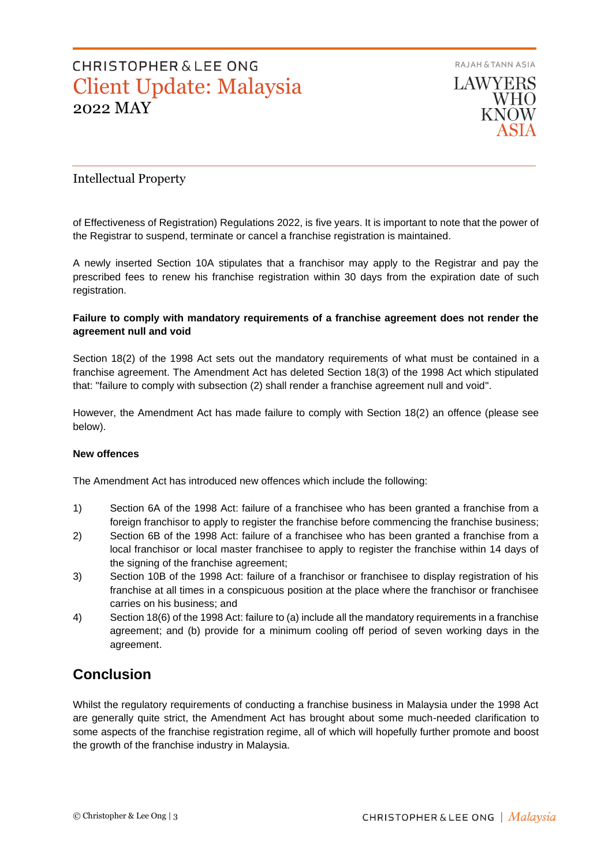

### Intellectual Property

of Effectiveness of Registration) Regulations 2022, is five years. It is important to note that the power of the Registrar to suspend, terminate or cancel a franchise registration is maintained.

A newly inserted Section 10A stipulates that a franchisor may apply to the Registrar and pay the prescribed fees to renew his franchise registration within 30 days from the expiration date of such registration.

### **Failure to comply with mandatory requirements of a franchise agreement does not render the agreement null and void**

Section 18(2) of the 1998 Act sets out the mandatory requirements of what must be contained in a franchise agreement. The Amendment Act has deleted Section 18(3) of the 1998 Act which stipulated that: "failure to comply with subsection (2) shall render a franchise agreement null and void".

However, the Amendment Act has made failure to comply with Section 18(2) an offence (please see below).

#### **New offences**

The Amendment Act has introduced new offences which include the following:

- 1) Section 6A of the 1998 Act: failure of a franchisee who has been granted a franchise from a foreign franchisor to apply to register the franchise before commencing the franchise business;
- 2) Section 6B of the 1998 Act: failure of a franchisee who has been granted a franchise from a local franchisor or local master franchisee to apply to register the franchise within 14 days of the signing of the franchise agreement;
- 3) Section 10B of the 1998 Act: failure of a franchisor or franchisee to display registration of his franchise at all times in a conspicuous position at the place where the franchisor or franchisee carries on his business; and
- 4) Section 18(6) of the 1998 Act: failure to (a) include all the mandatory requirements in a franchise agreement; and (b) provide for a minimum cooling off period of seven working days in the agreement.

### **Conclusion**

Whilst the regulatory requirements of conducting a franchise business in Malaysia under the 1998 Act are generally quite strict, the Amendment Act has brought about some much-needed clarification to some aspects of the franchise registration regime, all of which will hopefully further promote and boost the growth of the franchise industry in Malaysia.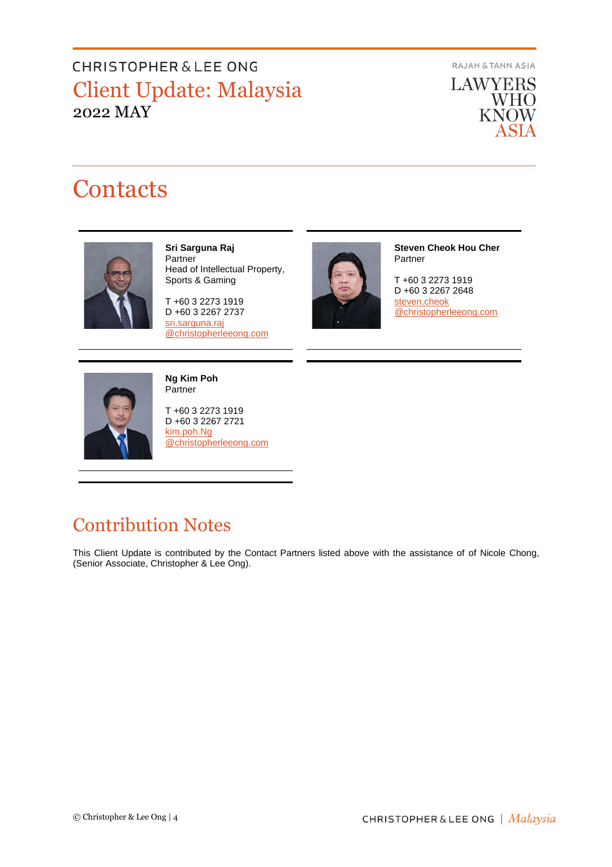RAJAH & TANN ASIA

**LAWYERS WHO KNOW** ASIA

# **Contacts**



**Sri Sarguna Raj** Partner Head of Intellectual Property, Sports & Gaming

T +60 3 2273 1919 D +60 3 2267 2737 [sri.sarguna.raj](mailto:sri.sarguna.raj@christopherleeong.com) [@christopherleeong.com](mailto:sri.sarguna.raj@christopherleeong.com)



**Steven Cheok Hou Cher** Partner

T +60 3 2273 1919 D +60 3 2267 2648 [steven.cheok](mailto:steven.cheok@christopherleeong.com) [@christopherleeong.com](mailto:steven.cheok@christopherleeong.com) 



**Ng Kim Poh** Partner

T +60 3 2273 1919 D +60 3 2267 2721 [kim.poh.Ng](mailto:kim.poh.ng@christopherleeong.com) [@christopherleeong.com](mailto:kim.poh.ng@christopherleeong.com)

## Contribution Notes

This Client Update is contributed by the Contact Partners listed above with the assistance of of Nicole Chong, (Senior Associate, Christopher & Lee Ong).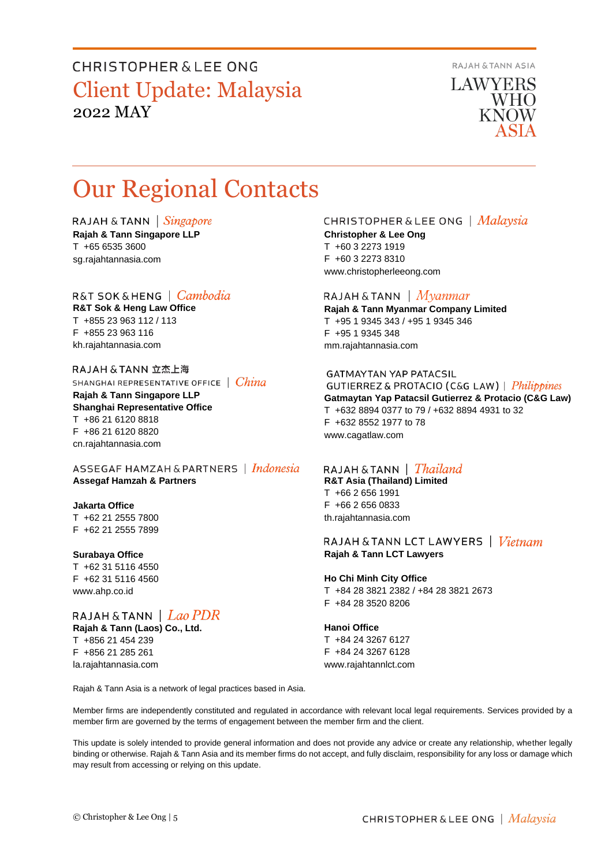RAJAH & TANN ASIA

**LAWYERS** WHO KNOW

# Our Regional Contacts

RAJAH & TANN  $\int$  *Singapore* **Rajah & Tann Singapore LLP** T +65 6535 3600 sg.rajahtannasia.com

### R&T SOK&HENG | *Cambodia*

**R&T Sok & Heng Law Office** T +855 23 963 112 / 113 F +855 23 963 116 kh.rajahtannasia.com

RAJAH & TANN 立杰上海 SHANGHAI REPRESENTATIVE OFFICE | China

**Rajah & Tann Singapore LLP Shanghai Representative Office** T +86 21 6120 8818 F +86 21 6120 8820 cn.rajahtannasia.com

ASSEGAF HAMZAH & PARTNERS | Indonesia **Assegaf Hamzah & Partners**

### **Jakarta Office**

T +62 21 2555 7800 F +62 21 2555 7899

#### **Surabaya Office**

T +62 31 5116 4550 F +62 31 5116 4560 www.ahp.co.id

RAJAH & TANN  $|$  Lao PDR **Rajah & Tann (Laos) Co., Ltd.** T +856 21 454 239

F +856 21 285 261 la.rajahtannasia.com

#### CHRISTOPHER & LEE ONG | Malaysia **Christopher & Lee Ong** T +60 3 2273 1919

F +60 3 2273 8310 www.christopherleeong.com

### RAJAH & TANN  $\mid$  *Myanmar*

**Rajah & Tann Myanmar Company Limited** T +95 1 9345 343 / +95 1 9345 346 F +95 1 9345 348 mm.rajahtannasia.com

#### **GATMAYTAN YAP PATACSIL**

GUTIERREZ & PROTACIO (C&G LAW) | Philippines **Gatmaytan Yap Patacsil Gutierrez & Protacio (C&G Law)**  T +632 8894 0377 to 79 / +632 8894 4931 to 32 F +632 8552 1977 to 78 www.cagatlaw.com

### RAJAH & TANN | *Thailand*

**R&T Asia (Thailand) Limited** T +66 2 656 1991 F +66 2 656 0833 th.rajahtannasia.com

RAJAH & TANN LCT LAWYERS | Vietnam **Rajah & Tann LCT Lawyers**

### **Ho Chi Minh City Office**

T +84 28 3821 2382 / +84 28 3821 2673 F +84 28 3520 8206

#### **Hanoi Office**

T +84 24 3267 6127 F +84 24 3267 6128 www.rajahtannlct.com

Rajah & Tann Asia is a network of legal practices based in Asia.

Member firms are independently constituted and regulated in accordance with relevant local legal requirements. Services provided by a member firm are governed by the terms of engagement between the member firm and the client.

This update is solely intended to provide general information and does not provide any advice or create any relationship, whether legally binding or otherwise. Rajah & Tann Asia and its member firms do not accept, and fully disclaim, responsibility for any loss or damage which may result from accessing or relying on this update.